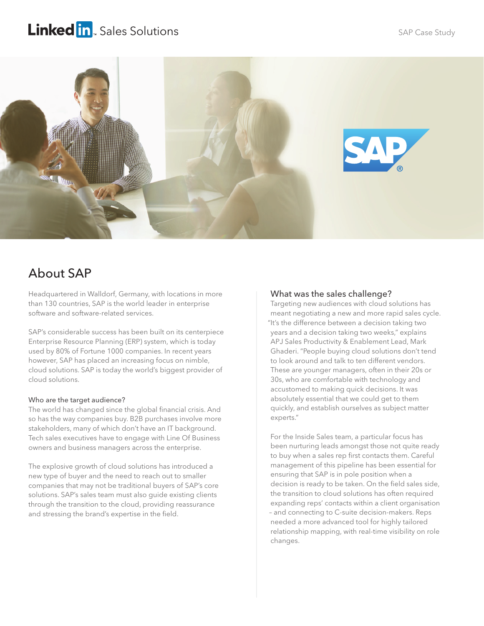# Linked in. Sales Solutions



## About SAP

Headquartered in Walldorf, Germany, with locations in more than 130 countries, SAP is the world leader in enterprise software and software-related services.

SAP's considerable success has been built on its centerpiece Enterprise Resource Planning (ERP) system, which is today used by 80% of Fortune 1000 companies. In recent years however, SAP has placed an increasing focus on nimble, cloud solutions. SAP is today the world's biggest provider of cloud solutions.

### Who are the target audience?

The world has changed since the global financial crisis. And so has the way companies buy. B2B purchases involve more stakeholders, many of which don't have an IT background. Tech sales executives have to engage with Line Of Business owners and business managers across the enterprise.

The explosive growth of cloud solutions has introduced a new type of buyer and the need to reach out to smaller companies that may not be traditional buyers of SAP's core solutions. SAP's sales team must also guide existing clients through the transition to the cloud, providing reassurance and stressing the brand's expertise in the field.

## What was the sales challenge?

Targeting new audiences with cloud solutions has meant negotiating a new and more rapid sales cycle. "It's the difference between a decision taking two years and a decision taking two weeks," explains APJ Sales Productivity & Enablement Lead, Mark Ghaderi. "People buying cloud solutions don't tend to look around and talk to ten different vendors. These are younger managers, often in their 20s or 30s, who are comfortable with technology and accustomed to making quick decisions. It was absolutely essential that we could get to them quickly, and establish ourselves as subject matter experts."

For the Inside Sales team, a particular focus has been nurturing leads amongst those not quite ready to buy when a sales rep first contacts them. Careful management of this pipeline has been essential for ensuring that SAP is in pole position when a decision is ready to be taken. On the field sales side, the transition to cloud solutions has often required expanding reps' contacts within a client organisation – and connecting to C-suite decision-makers. Reps needed a more advanced tool for highly tailored relationship mapping, with real-time visibility on role changes.